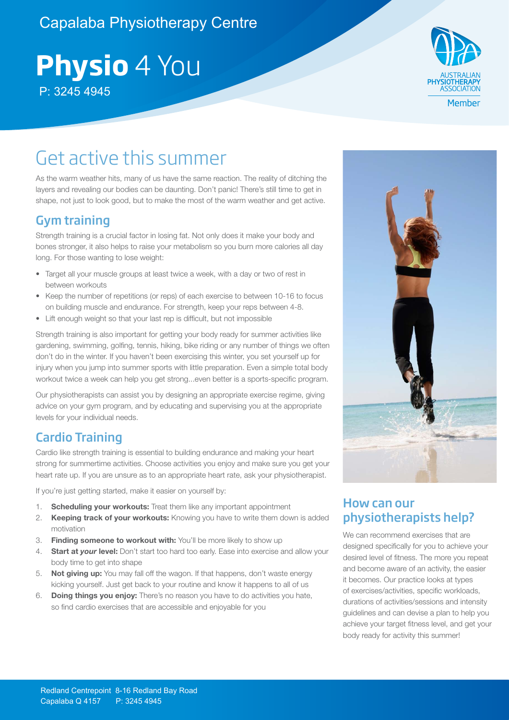### Capalaba Physiotherapy Centre

# **Physio** 4 You P: 3245 4945



### Get active this summer

As the warm weather hits, many of us have the same reaction. The reality of ditching the layers and revealing our bodies can be daunting. Don't panic! There's still time to get in shape, not just to look good, but to make the most of the warm weather and get active.

#### Gym training

Strength training is a crucial factor in losing fat. Not only does it make your body and bones stronger, it also helps to raise your metabolism so you burn more calories all day long. For those wanting to lose weight:

- Target all your muscle groups at least twice a week, with a day or two of rest in between workouts
- Keep the number of repetitions (or reps) of each exercise to between 10-16 to focus on building muscle and endurance. For strength, keep your reps between 4-8.
- Lift enough weight so that your last rep is difficult, but not impossible

Strength training is also important for getting your body ready for summer activities like gardening, swimming, golfing, tennis, hiking, bike riding or any number of things we often don't do in the winter. If you haven't been exercising this winter, you set yourself up for injury when you jump into summer sports with little preparation. Even a simple total body workout twice a week can help you get strong...even better is a sports-specific program.

Our physiotherapists can assist you by designing an appropriate exercise regime, giving advice on your gym program, and by educating and supervising you at the appropriate levels for your individual needs.

#### Cardio Training

Cardio like strength training is essential to building endurance and making your heart strong for summertime activities. Choose activities you enjoy and make sure you get your heart rate up. If you are unsure as to an appropriate heart rate, ask your physiotherapist.

If you're just getting started, make it easier on yourself by:

- 1. **Scheduling your workouts:** Treat them like any important appointment
- 2. **Keeping track of your workouts:** Knowing you have to write them down is added motivation
- 3. **Finding someone to workout with:** You'll be more likely to show up
- 4. **Start at** *your* **level:** Don't start too hard too early. Ease into exercise and allow your body time to get into shape
- 5. **Not giving up:** You may fall off the wagon. If that happens, don't waste energy kicking yourself. Just get back to your routine and know it happens to all of us
- 6. **Doing things you enjoy:** There's no reason you have to do activities you hate, so find cardio exercises that are accessible and enjoyable for you



#### How can our physiotherapists help?

We can recommend exercises that are designed specifically for you to achieve your desired level of fitness. The more you repeat and become aware of an activity, the easier it becomes. Our practice looks at types of exercises/activities, specific workloads, durations of activities/sessions and intensity guidelines and can devise a plan to help you achieve your target fitness level, and get your body ready for activity this summer!